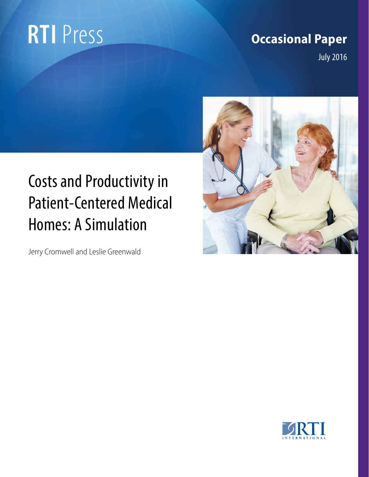# **RTI** Press

## **Occasional Paper**

July 2016



## Costs and Productivity in Patient-Centered Medical Homes: A Simulation

Jerry Cromwell and Leslie Greenwald

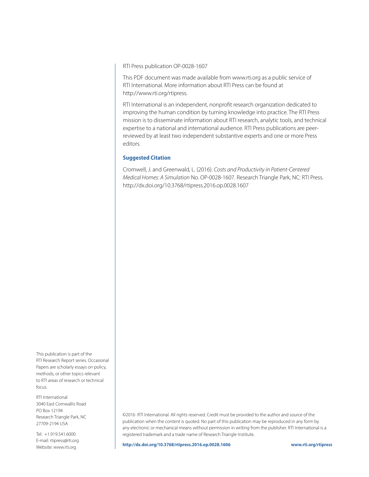RTI Press publication OP-0028-1607

This PDF document was made available from www.rti.org as a public service of RTI International. More information about RTI Press can be found at http://www.rti.org/rtipress.

RTI International is an independent, nonprofit research organization dedicated to improving the human condition by turning knowledge into practice. The RTI Press mission is to disseminate information about RTI research, analytic tools, and technical expertise to a national and international audience. RTI Press publications are peerreviewed by at least two independent substantive experts and one or more Press editors.

#### **Suggested Citation**

Cromwell, J. and Greenwald, L. (2016). *Costs and Productivity in Patient-Centered Medical Homes: A Simulation* No. OP-0028-1607. Research Triangle Park, NC: RTI Press. http://dx.doi.org/10.3768/rtipress.2016.op.0028.1607

This publication is part of the RTI Research Report series. Occasional Papers are scholarly essays on policy, methods, or other topics relevant to RTI areas of research or technical focus.

RTI International 3040 East Cornwallis Road PO Box 12194 Research Triangle Park, NC 27709-2194 USA

Tel: +1.919.541.6000 E-mail: rtipress@rti.org Website: www.rti.org

©2016 RTI International. All rights reserved. Credit must be provided to the author and source of the publication when the content is quoted. No part of this publication may be reproduced in any form by any electronic or mechanical means without permission in writing from the publisher. RTI International is a registered trademark and a trade name of Research Triangle Institute.

**http://dx.doi.org/10.3768/rtipress.2016.op.0028.1606 www.rti.org/rtipress**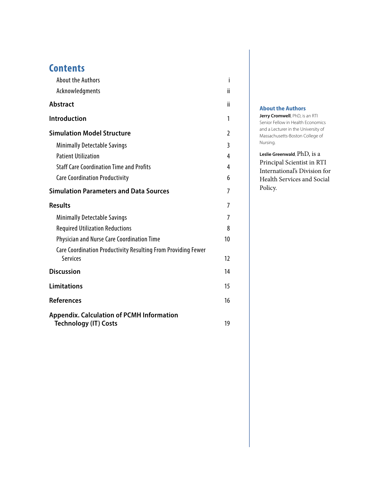| <b>Contents</b> |  |  |  |  |
|-----------------|--|--|--|--|
|                 |  |  |  |  |

| <b>About the Authors</b>                                                         | i  |
|----------------------------------------------------------------------------------|----|
| Acknowledgments                                                                  | ii |
| <b>Abstract</b>                                                                  | ii |
| <b>Introduction</b>                                                              | 1  |
| <b>Simulation Model Structure</b>                                                | 2  |
| <b>Minimally Detectable Savings</b>                                              | 3  |
| <b>Patient Utilization</b>                                                       | 4  |
| <b>Staff Care Coordination Time and Profits</b>                                  | 4  |
| <b>Care Coordination Productivity</b>                                            | 6  |
| <b>Simulation Parameters and Data Sources</b>                                    | 7  |
| <b>Results</b>                                                                   | 7  |
| <b>Minimally Detectable Savings</b>                                              | 7  |
| <b>Required Utilization Reductions</b>                                           | 8  |
| <b>Physician and Nurse Care Coordination Time</b>                                | 10 |
| Care Coordination Productivity Resulting From Providing Fewer<br><b>Services</b> | 12 |
| <b>Discussion</b>                                                                | 14 |
| <b>Limitations</b>                                                               | 15 |
| <b>References</b>                                                                | 16 |
| <b>Appendix. Calculation of PCMH Information</b><br><b>Technology (IT) Costs</b> | 19 |

#### **About the Authors**

**Jerry Cromwell**, PhD, is an RTI Senior Fellow in Health Economics and a Lecturer in the University of Massachusetts-Boston College of Nursing.

**Leslie Greenwald**, PhD, is a Principal Scientist in RTI International's Division for Health Services and Social Policy.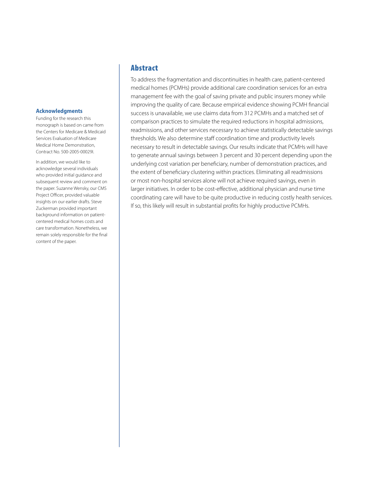#### <span id="page-3-0"></span>**Acknowledgments**

Funding for the research this monograph is based on came from the Centers for Medicare & Medicaid Services Evaluation of Medicare Medical Home Demonstration, Contract No. 500-2005-00029I.

In addition, we would like to acknowledge several individuals who provided initial guidance and subsequent review and comment on the paper. Suzanne Wensky, our CMS Project Officer, provided valuable insights on our earlier drafts. Steve Zuckerman provided important background information on patientcentered medical homes costs and care transformation. Nonetheless, we remain solely responsible for the final content of the paper.

#### Abstract

To address the fragmentation and discontinuities in health care, patient-centered medical homes (PCMHs) provide additional care coordination services for an extra management fee with the goal of saving private and public insurers money while improving the quality of care. Because empirical evidence showing PCMH financial success is unavailable, we use claims data from 312 PCMHs and a matched set of comparison practices to simulate the required reductions in hospital admissions, readmissions, and other services necessary to achieve statistically detectable savings thresholds. We also determine staff coordination time and productivity levels necessary to result in detectable savings. Our results indicate that PCMHs will have to generate annual savings between 3 percent and 30 percent depending upon the underlying cost variation per beneficiary, number of demonstration practices, and the extent of beneficiary clustering within practices. Eliminating all readmissions or most non-hospital services alone will not achieve required savings, even in larger initiatives. In order to be cost-effective, additional physician and nurse time coordinating care will have to be quite productive in reducing costly health services. If so, this likely will result in substantial profits for highly productive PCMHs.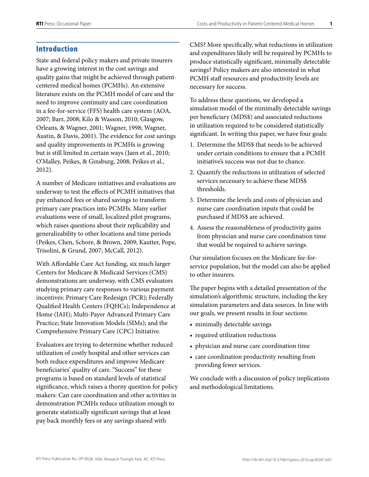#### <span id="page-4-0"></span>Introduction

State and federal policy makers and private insurers have a growing interest in the cost savings and quality gains that might be achieved through patientcentered medical homes (PCMHs). An extensive literature exists on the PCMH model of care and the need to improve continuity and care coordination in a fee-for-service (FFS) health care system (AOA, 2007; Barr, 2008; Kilo & Wasson, 2010; Glasgow, Orleans, & Wagner, 2001; Wagner, 1998; Wagner, Austin, & Davis, 2001). The evidence for cost savings and quality improvements in PCMHs is growing but is still limited in certain ways (Jaen et al., 2010; O'Malley, Peikes, & Ginsburg, 2008; Peikes et al., 2012).

A number of Medicare initiatives and evaluations are underway to test the effects of PCMH initiatives that pay enhanced fees or shared savings to transform primary care practices into PCMHs. Many earlier evaluations were of small, localized pilot programs, which raises questions about their replicability and generalizability to other locations and time periods (Peikes, Chen, Schore, & Brown, 2009; Kautter, Pope, Trisolini, & Grund, 2007; McCall, 2012).

With Affordable Care Act funding, six much larger Centers for Medicare & Medicaid Services (CMS) demonstrations are underway, with CMS evaluators studying primary care responses to various payment incentives: Primary Care Redesign (PCR); Federally Qualified Health Centers (FQHCs); Independence at Home (IAH); Multi-Payer Advanced Primary Care Practice; State Innovation Models (SIMs); and the Comprehensive Primary Care (CPC) Initiative.

Evaluators are trying to determine whether reduced utilization of costly hospital and other services can both reduce expenditures and improve Medicare beneficiaries' quality of care. "Success" for these programs is based on standard levels of statistical significance, which raises a thorny question for policy makers: Can care coordination and other activities in demonstration PCMHs reduce utilization enough to generate statistically significant savings that at least pay back monthly fees or any savings shared with

CMS? More specifically, what reductions in utilization and expenditures likely will be required by PCMHs to produce statistically significant, minimally detectable savings? Policy makers are also interested in what PCMH staff resources and productivity levels are necessary for success.

To address these questions, we developed a simulation model of the minimally detectable savings per beneficiary (MDS\$) and associated reductions in utilization required to be considered statistically significant. In writing this paper, we have four goals:

- 1. Determine the MDS\$ that needs to be achieved under certain conditions to ensure that a PCMH initiative's success was not due to chance.
- 2. Quantify the reductions in utilization of selected services necessary to achieve these MDS\$ thresholds.
- 3. Determine the levels and costs of physician and nurse care coordination inputs that could be purchased if MDS\$ are achieved.
- 4. Assess the reasonableness of productivity gains from physician and nurse care coordination time that would be required to achieve savings.

Our simulation focuses on the Medicare fee-forservice population, but the model can also be applied to other insurers.

The paper begins with a detailed presentation of the simulation's algorithmic structure, including the key simulation parameters and data sources. In line with our goals, we present results in four sections:

- minimally detectable savings
- required utilization reductions
- physician and nurse care coordination time
- care coordination productivity resulting from providing fewer services.

We conclude with a discussion of policy implications and methodological limitations.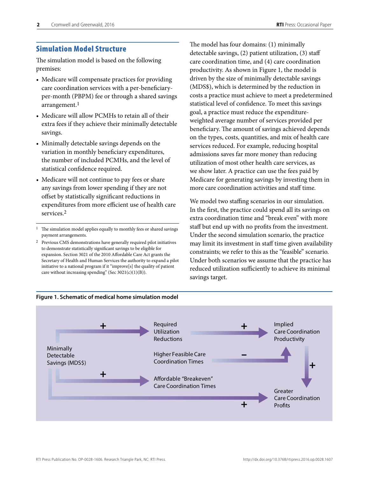#### <span id="page-5-0"></span>Simulation Model Structure

The simulation model is based on the following premises:

- Medicare will compensate practices for providing care coordination services with a per-beneficiaryper-month (PBPM) fee or through a shared savings arrangement. $<sup>1</sup>$ </sup>
- Medicare will allow PCMHs to retain all of their extra fees if they achieve their minimally detectable savings.
- Minimally detectable savings depends on the variation in monthly beneficiary expenditures, the number of included PCMHs, and the level of statistical confidence required.
- Medicare will not continue to pay fees or share any savings from lower spending if they are not offset by statistically significant reductions in expenditures from more efficient use of health care services.2
- <sup>1</sup> The simulation model applies equally to monthly fees or shared savings payment arrangements.
- 2 Previous CMS demonstrations have generally required pilot initiatives to demonstrate statistically significant savings to be eligible for expansion. Section 3021 of the 2010 Affordable Care Act grants the Secretary of Health and Human Services the authority to expand a pilot initiative to a national program if it "improve[s] the quality of patient care without increasing spending" (Sec 3021(c)(1)(B)).

The model has four domains: (1) minimally detectable savings, (2) patient utilization, (3) staff care coordination time, and (4) care coordination productivity. As shown in Figure 1, the model is driven by the size of minimally detectable savings (MDS\$), which is determined by the reduction in costs a practice must achieve to meet a predetermined statistical level of confidence. To meet this savings goal, a practice must reduce the expenditureweighted average number of services provided per beneficiary. The amount of savings achieved depends on the types, costs, quantities, and mix of health care services reduced. For example, reducing hospital admissions saves far more money than reducing utilization of most other health care services, as we show later. A practice can use the fees paid by Medicare for generating savings by investing them in more care coordination activities and staff time.

We model two staffing scenarios in our simulation. In the first, the practice could spend all its savings on extra coordination time and "break even" with more staff but end up with no profits from the investment. Under the second simulation scenario, the practice may limit its investment in staff time given availability constraints; we refer to this as the "feasible" scenario. Under both scenarios we assume that the practice has reduced utilization sufficiently to achieve its minimal savings target.



**Figure 1. Schematic of medical home simulation model**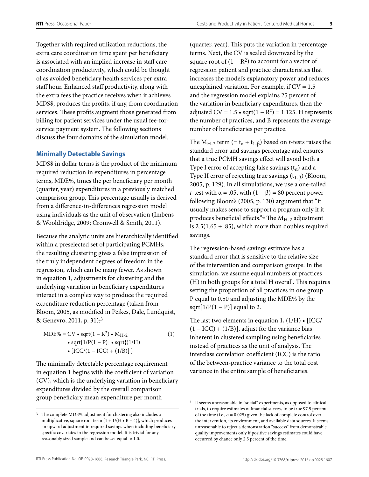<span id="page-6-0"></span>Together with required utilization reductions, the extra care coordination time spent per beneficiary is associated with an implied increase in staff care coordination productivity, which could be thought of as avoided beneficiary health services per extra staff hour. Enhanced staff productivity, along with the extra fees the practice receives when it achieves MDS\$, produces the profits, if any, from coordination services. These profits augment those generated from billing for patient services under the usual fee-forservice payment system. The following sections discuss the four domains of the simulation model.

#### **Minimally Detectable Savings**

MDS\$ in dollar terms is the product of the minimum required reduction in expenditures in percentage terms, MDE%, times the per beneficiary per month (quarter, year) expenditures in a previously matched comparison group. This percentage usually is derived from a difference-in-differences regression model using individuals as the unit of observation (Imbens & Wooldridge, 2009; Cromwell & Smith, 2011).

Because the analytic units are hierarchically identified within a preselected set of participating PCMHs, the resulting clustering gives a false impression of the truly independent degrees of freedom in the regression, which can be many fewer. As shown in equation 1, adjustments for clustering and the underlying variation in beneficiary expenditures interact in a complex way to produce the required expenditure reduction percentage (taken from Bloom, 2005, as modified in Peikes, Dale, Lundquist, & Genevro, 2011, p. 31):3

$$
MDE\% = CV \cdot sqrt(1 - R^2) \cdot M_{H-2}
$$
\n
$$
\cdot sqrt[1/P(1 - P)] \cdot sqrt\{(1/H)
$$
\n
$$
\cdot [ICC/(1 - ICC) + (1/B)] \}
$$
\n(1)

The minimally detectable percentage requirement in equation 1 begins with the coefficient of variation (CV), which is the underlying variation in beneficiary expenditures divided by the overall comparison group beneficiary mean expenditure per month

(quarter, year). This puts the variation in percentage terms. Next, the CV is scaled downward by the square root of  $(1 - R^2)$  to account for a vector of regression patient and practice characteristics that increases the model's explanatory power and reduces unexplained variation. For example, if  $CV = 1.5$ and the regression model explains 25 percent of the variation in beneficiary expenditures, then the adjusted CV =  $1.5 \cdot \sqrt{\text{sqrt}}(1 - R^2) = 1.125$ . H represents the number of practices, and B represents the average number of beneficiaries per practice.

The M<sub>H-2</sub> term (=  $t_{\alpha}$  +  $t_{1-\beta}$ ) based on *t*-tests raises the standard error and savings percentage and ensures that a true PCMH savings effect will avoid both a Type I error of accepting false savings  $(t_{\alpha})$  and a Type II error of rejecting true savings  $(t_{1-\beta})$  (Bloom, 2005, p. 129). In all simulations, we use a one-tailed *t*-test with  $\alpha$  = .05, with  $(1 - \beta)$  = 80 percent power following Bloom's (2005, p. 130) argument that "it usually makes sense to support a program only if it produces beneficial effects." The  $M_{H-2}$  adjustment is  $2.5(1.65 + .85)$ , which more than doubles required savings.

The regression-based savings estimate has a standard error that is sensitive to the relative size of the intervention and comparison groups. In the simulation, we assume equal numbers of practices (H) in both groups for a total H overall. This requires setting the proportion of all practices in one group P equal to 0.50 and adjusting the MDE% by the sqrt $[1/P(1 - P)]$  equal to 2.

The last two elements in equation 1, (1/H) • [ICC/  $(1 - ICC) + (1/B)$ ], adjust for the variance bias inherent in clustered sampling using beneficiaries instead of practices as the unit of analysis. The interclass correlation coefficient (ICC) is the ratio of the between-practice variance to the total cost variance in the entire sample of beneficiaries.

<sup>&</sup>lt;sup>3</sup> The complete MDE% adjustment for clustering also includes a multiplicative, square root term  $[1 + 1/(H \cdot B - 4)]$ , which produces an upward adjustment in required savings when including beneficiaryspecific covariates in the regression model. It is trivial for any reasonably sized sample and can be set equal to 1.0.

<sup>4</sup> It seems unreasonable in "social" experiments, as opposed to clinical trials, to require estimates of financial success to be true 97.5 percent of the time (i.e.,  $\alpha$  = 0.025) given the lack of complete control over the intervention, its environment, and available data sources. It seems unreasonable to reject a demonstration "success" from demonstrable quality improvements only if positive savings estimates could have occurred by chance only 2.5 percent of the time.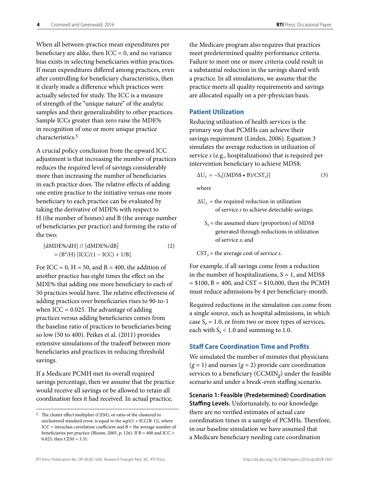<span id="page-7-0"></span>When all between-practice mean expenditures per beneficiary are alike, then  $ICC = 0$ , and no variance bias exists in selecting beneficiaries within practices. If mean expenditures differed among practices, even after controlling for beneficiary characteristics, then it clearly made a difference which practices were actually selected for study. The ICC is a measure of strength of the "unique nature" of the analytic samples and their generalizability to other practices. Sample ICCs greater than zero raise the MDE% in recognition of one or more unique practice characteristics.5

A crucial policy conclusion from the upward ICC adjustment is that increasing the number of practices reduces the required level of savings considerably more than increasing the number of beneficiaries in each practice does. The relative effects of adding one entire practice to the initiative versus one more beneficiary to each practice can be evaluated by taking the derivative of MDE% with respect to H (the number of homes) and B (the average number of beneficiaries per practice) and forming the ratio of the two:

 $[dMDE\% / dH]$  //  $[dMDE\% / dB]$  (2)  $= (B<sup>2</sup>/H) [ICC/(1 – ICC) + 1/B].$ 

For ICC = 0,  $H = 50$ , and B = 400, the addition of another practice has eight times the effect on the MDE% that adding one more beneficiary to each of 50 practices would have. The relative effectiveness of adding practices over beneficiaries rises to 90-to-1 when  $ICC = 0.025$ . The advantage of adding practices versus adding beneficiaries comes from the baseline ratio of practices to beneficiaries being so low (50 to 400). Peikes et al. (2011) provides extensive simulations of the tradeoff between more beneficiaries and practices in reducing threshold savings.

If a Medicare PCMH met its overall required savings percentage, then we assume that the practice would receive all savings or be allowed to retain all coordination fees it had received. In actual practice,

the Medicare program also requires that practices meet predetermined quality performance criteria. Failure to meet one or more criteria could result in a substantial reduction in the savings shared with a practice. In all simulations, we assume that the practice meets all quality requirements and savings are allocated equally on a per-physician basis.

#### **Patient Utilization**

Reducing utilization of health services is the primary way that PCMHs can achieve their savings requirement (Linden, 2006). Equation 3 simulates the average reduction in utilization of service *s* (e.g., hospitalizations) that is required per intervention beneficiary to achieve MDS\$:

$$
\Delta U_s = -S_s[(MDS\bullet B)/CST_s)]\tag{3}
$$

where

- $\Delta U_s$  = the required reduction in utilization of service *s* to achieve detectable savings;
	- $S_s$  = the assumed share (proportion) of MDS\$ generated through reductions in utilization of service *s*; and
- $\text{CST}_s$  = the average cost of service *s*.

For example, if all savings come from a reduction in the number of hospitalizations,  $S = 1$ , and MDS\$  $= $100, B = 400, and CST = $10,000, then the PCMH$ must reduce admissions by 4 per beneficiary-month.

Required reductions in the simulation can come from a single source, such as hospital admissions, in which case  $S_s = 1.0$ , or from two or more types of services, each with  $S_s < 1.0$  and summing to 1.0.

#### **Staff Care Coordination Time and Profits**

We simulated the number of minutes that physicians  $(g = 1)$  and nurses  $(g = 2)$  provide care coordination services to a beneficiary (CCMIN*g*) under the feasible scenario and under a break-even staffing scenario.

**Scenario 1: Feasible (Predetermined) Coordination Staffing Levels.** Unfortunately, to our knowledge there are no verified estimates of actual care coordination times in a sample of PCMHs. Therefore, in our baseline simulation we have assumed that a Medicare beneficiary needing care coordination

<sup>5</sup> The cluster effect multiplier (CEM), or ratio of the clustered to unclustered standard error, is equal to the sqrt ${1 + \text{ICC(B-1)}},$  where  $ICC = intraclass correlation coefficient and B = the average number of$ beneficiaries per practice (Bloom, 2005, p. 126). If B = 400 and ICC = 0.025, then CEM = 3.31.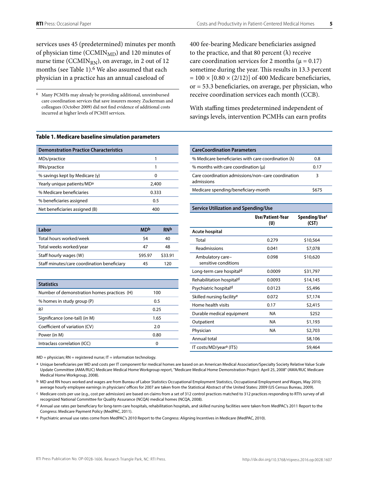services uses 45 (predetermined) minutes per month of physician time (CCMIN<sub>MD</sub>) and 120 minutes of nurse time (CCMIN<sub>RN</sub>), on average, in 2 out of 12 months (see Table 1).<sup>6</sup> We also assumed that each physician in a practice has an annual caseload of

6 Many PCMHs may already be providing additional, unreimbursed care coordination services that save insurers money. Zuckerman and colleagues (October 2009) did not find evidence of additional costs incurred at higher levels of PCMH services.

#### **Table 1. Medicare baseline simulation parameters**

| <b>Demonstration Practice Characteristics</b> |       |
|-----------------------------------------------|-------|
| MDs/practice                                  |       |
| RNs/practice                                  |       |
| % savings kept by Medicare $(y)$              | 0     |
| Yearly unique patients/MD <sup>a</sup>        | 2,400 |
| % Medicare beneficiaries                      | 0.333 |
| % beneficiaries assigned                      | 0.5   |
| Net beneficiaries assigned (B)                | 400   |

| Labor                                       | <b>MD<sub>p</sub></b> | <b>RNb</b> |
|---------------------------------------------|-----------------------|------------|
| Total hours worked/week                     | 54                    | 40         |
| Total weeks worked/year                     | 47                    | 48         |
| Staff hourly wages (W)                      | \$95.97               | \$33.91    |
| Staff minutes/care coordination beneficiary | 45                    | 120        |

| <b>Statistics</b>                           |      |
|---------------------------------------------|------|
| Number of demonstration homes practices (H) | 100  |
| % homes in study group (P)                  | 0.5  |
| R <sup>2</sup>                              | 0.25 |
| Significance (one-tail) (in M)              | 1.65 |
| Coefficient of variation (CV)               | 2.0  |
| Power (in M)                                | 0.80 |
| Intraclass correlation (ICC)                | ŋ    |

 $MD = physical; RN = registered nurse; IT = information technology.$ 

a Unique beneficiaries per MD and costs per IT component for medical homes are based on an American Medical Association/Specialty Society Relative Value Scale Update Committee (AMA/RUC) Medicare Medical Home Workgroup report, "Medicare Medical Home Demonstration Project: April 25, 2008" (AMA/RUC Medicare Medical Home Workgroup, 2008).

b MD and RN hours worked and wages are from Bureau of Labor Statistics Occupational Employment Statistics, Occupational Employment and Wages, May 2010; average hourly employee earnings in physicians' offices for 2007 are taken from the Statistical Abstract of the United States: 2009 (US Census Bureau, 2009).

c Medicare costs per use (e.g., cost per admission) are based on claims from a set of 312 control practices matched to 312 practices responding to RTI's survey of all recognized National Committee for Quality Assurance (NCQA) medical homes (NCQA, 2008).

d Annual use rates per beneficiary for long-term care hospitals, rehabilitation hospitals, and skilled nursing facilities were taken from MedPAC's 2011 Report to the Congress: Medicare Payment Policy (MedPAC, 2011).

e Psychiatric annual use rates come from MedPAC's 2010 Report to the Congress: Aligning Incentives in Medicare (MedPAC, 2010).

400 fee-bearing Medicare beneficiaries assigned to the practice, and that 80 percent  $(\lambda)$  receive care coordination services for 2 months ( $\mu$  = 0.17) sometime during the year. This results in 13.3 percent  $= 100 \times [0.80 \times (2/12)]$  of 400 Medicare beneficiaries, or = 53.3 beneficiaries, on average, per physician, who receive coordination services each month (CCB).

With staffing times predetermined independent of savings levels, intervention PCMHs can earn profits

| <b>CareCoordination Parameters</b>                               |      |
|------------------------------------------------------------------|------|
| % Medicare beneficiaries with care coordination $(\lambda)$      | 0.8  |
| % months with care coordination $(\mu)$                          | 0.17 |
| Care coordination admissions/non-care coordination<br>admissions | 3    |
| Medicare spending/beneficiary-month                              |      |

| Service Utilization and Spending/Use     |                         |                                    |  |  |  |  |  |
|------------------------------------------|-------------------------|------------------------------------|--|--|--|--|--|
|                                          | Use/Patient-Year<br>(U) | Spending/Use <sup>c</sup><br>(CST) |  |  |  |  |  |
| <b>Acute hospital</b>                    |                         |                                    |  |  |  |  |  |
| Total                                    | 0.279                   | \$10,564                           |  |  |  |  |  |
| Readmissions                             | 0.041                   | \$7,078                            |  |  |  |  |  |
| Ambulatory care-<br>sensitive conditions | 0.098                   | \$10,620                           |  |  |  |  |  |
| Long-term care hospitald                 | 0.0009                  | \$31,797                           |  |  |  |  |  |
| Rehabilitation hospital <sup>d</sup>     | 0.0093                  | \$14,145                           |  |  |  |  |  |
| Psychiatric hospitald                    | 0.0123                  | \$5,496                            |  |  |  |  |  |
| Skilled nursing facility <sup>e</sup>    | 0.072                   | \$7,174                            |  |  |  |  |  |
| Home health visits                       | 0.17                    | \$2,415                            |  |  |  |  |  |
| Durable medical equipment                | <b>NA</b>               | \$252                              |  |  |  |  |  |
| Outpatient                               | <b>NA</b>               | \$1,193                            |  |  |  |  |  |
| Physician                                | <b>NA</b>               | \$2,703                            |  |  |  |  |  |
| Annual total                             |                         | \$8,106                            |  |  |  |  |  |
| IT costs/MD/year <sup>a</sup> (IT\$)     |                         | \$9,464                            |  |  |  |  |  |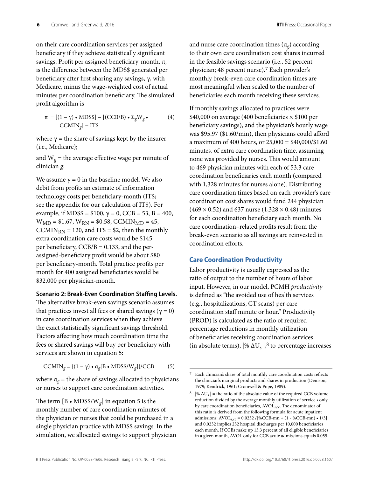<span id="page-9-0"></span>on their care coordination services per assigned beneficiary if they achieve statistically significant savings. Profit per assigned beneficiary-month, π, is the difference between the MDS\$ generated per beneficiary after first sharing any savings, γ, with Medicare, minus the wage-weighted cost of actual minutes per coordination beneficiary. The simulated profit algorithm is

$$
\pi = [(1 - \gamma) \cdot \text{MDS$}] - [(CCB/B) \cdot \Sigma_{g}W_{g} \cdot (4)
$$
  
CCMIN<sub>g</sub>] – IT\$

where  $\gamma$  = the share of savings kept by the insurer (i.e., Medicare);

and  $W_g$  = the average effective wage per minute of clinician *g*.

We assume  $\gamma = 0$  in the baseline model. We also debit from profits an estimate of information technology costs per beneficiary-month (IT\$; see the appendix for our calculation of IT\$). For example, if MDS\$ = \$100,  $\gamma$  = 0, CCB = 53, B = 400,  $W_{MD} = $1.67$ ,  $W_{RN} = $0.58$ , CCMIN<sub>MD</sub> = 45, CCMIN<sub>RN</sub> = 120, and IT\$ = \$2, then the monthly extra coordination care costs would be \$145 per beneficiary,  $CCB/B = 0.133$ , and the perassigned-beneficiary profit would be about \$80 per beneficiary-month. Total practice profits per month for 400 assigned beneficiaries would be \$32,000 per physician-month.

#### **Scenario 2: Break-Even Coordination Staffing Levels.**

The alternative break-even savings scenario assumes that practices invest all fees or shared savings ( $γ = 0$ ) in care coordination services when they achieve the exact statistically significant savings threshold. Factors affecting how much coordination time the fees or shared savings will buy per beneficiary with services are shown in equation 5:

$$
CCMIN_g = \{(1 - \gamma) \cdot \alpha_g[B \cdot MDS\$/W_g]\}/CCB \tag{5}
$$

where  $\alpha_g$  = the share of savings allocated to physicians or nurses to support care coordination activities.

The term  $[B \cdot MDS\$/W_g]$  in equation 5 is the monthly number of care coordination minutes of the physician or nurses that could be purchased in a single physician practice with MDS\$ savings. In the simulation, we allocated savings to support physician and nurse care coordination times (α*g*) according to their own care coordination cost shares incurred in the feasible savings scenario (i.e., 52 percent physician; 48 percent nurse).7 Each provider's monthly break-even care coordination times are most meaningful when scaled to the number of beneficiaries each month receiving these services.

If monthly savings allocated to practices were \$40,000 on average (400 beneficiaries  $\times$  \$100 per beneficiary savings), and the physician's hourly wage was \$95.97 (\$1.60/min), then physicians could afford a maximum of 400 hours, or 25,000 = \$40,000/\$1.60 minutes, of extra care coordination time, assuming none was provided by nurses. This would amount to 469 physician minutes with each of 53.3 care coordination beneficiaries each month (compared with 1,328 minutes for nurses alone). Distributing care coordination times based on each provider's care coordination cost shares would fund 244 physician  $(469 \times 0.52)$  and 637 nurse  $(1,328 \times 0.48)$  minutes for each coordination beneficiary each month. No care coordination–related profits result from the break-even scenario as all savings are reinvested in coordination efforts.

#### **Care Coordination Productivity**

Labor productivity is usually expressed as the ratio of output to the number of hours of labor input. However, in our model, PCMH *productivity* is defined as "the avoided use of health services (e.g., hospitalizations, CT scans) per care coordination staff minute or hour." Productivity (PROD) is calculated as the ratio of required percentage reductions in monthly utilization of beneficiaries receiving coordination services (in absolute terms),  $\frac{1}{6}$   $\Delta U_s$ ,  $\frac{1}{6}$  to percentage increases

<sup>7</sup> Each clinician's share of total monthly care coordination costs reflects the clinician's marginal products and shares in production (Denison, 1979; Kendrick, 1961; Cromwell & Pope, 1989).

<sup>&</sup>lt;sup>8</sup> |%  $\Delta U_s$  | = the ratio of the absolute value of the required CCB volume reduction divided by the average monthly utilization of service *s* only by care coordination beneficiaries, AVOL<sub>s,cc</sub>. The denominator of this ratio is derived from the following formula for acute inpatient admissions: AVOL<sub>s,cc</sub> = 0.0232 /[%CCB-mn + (1 - %CCB-mn) • 1/3] and 0.0232 implies 232 hospital discharges per 10,000 beneficiaries each month. If CCBs make up 13.3 percent of all eligible beneficiaries in a given month, AVOL only for CCB acute admissions equals 0.055.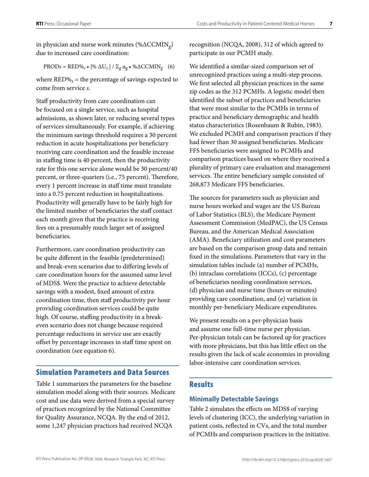<span id="page-10-0"></span>in physician and nurse work minutes (%ΔCCMIN*g*) due to increased care coordination:

 $PRODs = RED\% \cdot |\% \Delta U_s| / \Sigma_g \alpha_g \cdot \% \Delta C C M IN_g$  (6)

where  $RED\%$ <sub>s</sub> = the percentage of savings expected to come from service *s*.

Staff productivity from care coordination can be focused on a single service, such as hospital admissions, as shown later, or reducing several types of services simultaneously. For example, if achieving the minimum savings threshold requires a 30 percent reduction in acute hospitalizations per beneficiary receiving care coordination and the feasible increase in staffing time is 40 percent, then the productivity rate for this one service alone would be 30 percent/40 percent, or three-quarters (i.e., 75 percent). Therefore, every 1 percent increase in staff time must translate into a 0.75 percent reduction in hospitalizations. Productivity will generally have to be fairly high for the limited number of beneficiaries the staff contact each month given that the practice is receiving fees on a presumably much larger set of assigned beneficiaries.

Furthermore, care coordination productivity can be quite different in the feasible (predetermined) and break-even scenarios due to differing levels of care coordination hours for the assumed same level of MDS\$. Were the practice to achieve detectable savings with a modest, fixed amount of extra coordination time, then staff productivity per hour providing coordination services could be quite high. Of course, staffing productivity in a breakeven scenario does not change because required percentage reductions in service use are exactly offset by percentage increases in staff time spent on coordination (see equation 6).

#### Simulation Parameters and Data Sources

Table 1 summarizes the parameters for the baseline simulation model along with their sources. Medicare cost and use data were derived from a special survey of practices recognized by the National Committee for Quality Assurance, NCQA. By the end of 2012, some 1,247 physician practices had received NCQA

recognition (NCQA, 2008), 312 of which agreed to participate in our PCMH study.

We identified a similar-sized comparison set of unrecognized practices using a multi-step process. We first selected all physician practices in the same zip codes as the 312 PCMHs. A logistic model then identified the subset of practices and beneficiaries that were most similar to the PCMHs in terms of practice and beneficiary demographic and health status characteristics (Rosenbaum & Rubin, 1983). We excluded PCMH and comparison practices if they had fewer than 30 assigned beneficiaries. Medicare FFS beneficiaries were assigned to PCMHs and comparison practices based on where they received a plurality of primary care evaluation and management services. The entire beneficiary sample consisted of 268,873 Medicare FFS beneficiaries.

The sources for parameters such as physician and nurse hours worked and wages are the US Bureau of Labor Statistics (BLS), the Medicare Payment Assessment Commission (MedPAC), the US Census Bureau, and the American Medical Association (AMA). Beneficiary utilization and cost parameters are based on the comparison group data and remain fixed in the simulations. Parameters that vary in the simulation tables include (a) number of PCMHs, (b) intraclass correlations (ICCs), (c) percentage of beneficiaries needing coordination services, (d) physician and nurse time (hours or minutes) providing care coordination, and (e) variation in monthly per-beneficiary Medicare expenditures.

We present results on a per-physician basis and assume one full-time nurse per physician. Per-physician totals can be factored up for practices with more physicians, but this has little effect on the results given the lack of scale economies in providing labor-intensive care coordination services.

#### **Results**

#### **Minimally Detectable Savings**

Table 2 simulates the effects on MDS\$ of varying levels of clustering (ICC), the underlying variation in patient costs, reflected in CVs, and the total number of PCMHs and comparison practices in the initiative.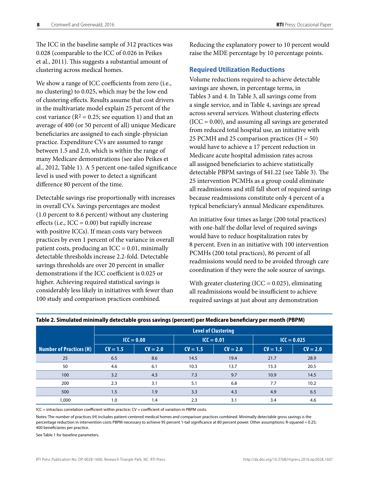<span id="page-11-0"></span>The ICC in the baseline sample of 312 practices was 0.028 (comparable to the ICC of 0.026 in Peikes et al., 2011). This suggests a substantial amount of clustering across medical homes.

We show a range of ICC coefficients from zero (i.e., no clustering) to 0.025, which may be the low end of clustering effects. Results assume that cost drivers in the multivariate model explain 25 percent of the cost variance ( $R^2 = 0.25$ ; see equation 1) and that an average of 400 (or 50 percent of all) unique Medicare beneficiaries are assigned to each single-physician practice. Expenditure CVs are assumed to range between 1.5 and 2.0, which is within the range of many Medicare demonstrations (see also Peikes et al., 2012, Table 1). A 5 percent one-tailed significance level is used with power to detect a significant difference 80 percent of the time.

Detectable savings rise proportionally with increases in overall CVs. Savings percentages are modest (1.0 percent to 8.6 percent) without any clustering effects (i.e.,  $ICC = 0.00)$  but rapidly increase with positive ICCs). If mean costs vary between practices by even 1 percent of the variance in overall patient costs, producing an  $ICC = 0.01$ , minimally detectable thresholds increase 2.2-fold. Detectable savings thresholds are over 20 percent in smaller demonstrations if the ICC coefficient is 0.025 or higher. Achieving required statistical savings is considerably less likely in initiatives with fewer than 100 study and comparison practices combined.

Reducing the explanatory power to 10 percent would raise the MDE percentage by 10 percentage points.

#### **Required Utilization Reductions**

Volume reductions required to achieve detectable savings are shown, in percentage terms, in Tables 3 and 4. In Table 3, all savings come from a single service, and in Table 4, savings are spread across several services. Without clustering effects  $(ICC = 0.00)$ , and assuming all savings are generated from reduced total hospital use, an initiative with 25 PCMH and 25 comparison practices  $(H = 50)$ would have to achieve a 17 percent reduction in Medicare acute hospital admission rates across all assigned beneficiaries to achieve statistically detectable PBPM savings of \$41.22 (see Table 3). The 25 intervention PCMHs as a group could eliminate all readmissions and still fall short of required savings because readmissions constitute only 4 percent of a typical beneficiary's annual Medicare expenditures.

An initiative four times as large (200 total practices) with one-half the dollar level of required savings would have to reduce hospitalization rates by 8 percent. Even in an initiative with 100 intervention PCMHs (200 total practices), 86 percent of all readmissions would need to be avoided through care coordination if they were the sole source of savings.

With greater clustering (ICC =  $0.025$ ), eliminating all readmissions would be insufficient to achieve required savings at just about any demonstration

|                                | <b>Level of Clustering</b> |                              |            |            |               |            |  |
|--------------------------------|----------------------------|------------------------------|------------|------------|---------------|------------|--|
|                                |                            | $ICC = 0.01$<br>$ICC = 0.00$ |            |            | $ICC = 0.025$ |            |  |
| <b>Number of Practices (H)</b> | $CV = 1.5$                 | $CV = 2.0$                   | $CV = 1.5$ | $CV = 2.0$ | $CV = 1.5$    | $CV = 2.0$ |  |
| 25                             | 6.5                        | 8.6                          | 14.5       | 19.4       | 21.7          | 28.9       |  |
| 50                             | 4.6                        | 6.1                          | 10.3       | 13.7       | 15.3          | 20.5       |  |
| 100                            | 3.2                        | 4.3                          | 7.3        | 9.7        | 10.9          | 14.5       |  |
| 200                            | 2.3                        | 3.1                          | 5.1        | 6.8        | 7.7           | 10.2       |  |
| 500                            | 1.5                        | 1.9                          | 3.3        | 4.3        | 4.9           | 6.5        |  |
| 1,000                          | 1.0                        | 1.4                          | 2.3        | 3.1        | 3.4           | 4.6        |  |

#### **Table 2. Simulated minimally detectable gross savings (percent) per Medicare beneficiary per month (PBPM)**

ICC = intraclass correlation coefficient within practice; CV = coefficient of variation in PBPM costs.

Notes: The number of practices (H) includes patient-centered medical homes and comparison practices combined. Minimally detectable gross savings is the percentage reduction in intervention costs PBPM necessary to achieve 95 percent 1-tail significance at 80 percent power. Other assumptions: R-squared = 0.25; 400 beneficiaries per practice.

See Table 1 for baseline parameters.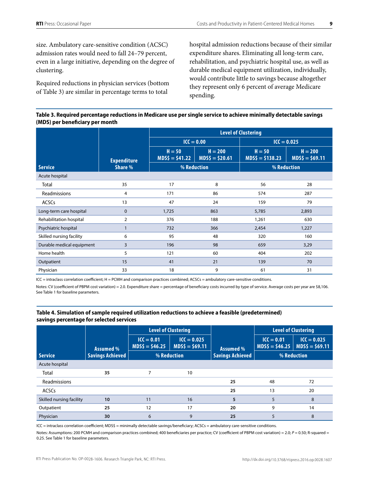size. Ambulatory care-sensitive condition (ACSC) admission rates would need to fall 24–79 percent, even in a large initiative, depending on the degree of clustering.

Required reductions in physician services (bottom of Table 3) are similar in percentage terms to total

hospital admission reductions because of their similar expenditure shares. Eliminating all long-term care, rehabilitation, and psychiatric hospital use, as well as durable medical equipment utilization, individually, would contribute little to savings because altogether they represent only 6 percent of average Medicare spending.

#### **Table 3. Required percentage reductions in Medicare use per single service to achieve minimally detectable savings (MDS) per beneficiary per month**

|                           |                    | <b>Level of Clustering</b>   |                               |                               |                              |  |  |
|---------------------------|--------------------|------------------------------|-------------------------------|-------------------------------|------------------------------|--|--|
|                           |                    |                              | $ICC = 0.00$                  | $ICC = 0.025$                 |                              |  |  |
|                           | <b>Expenditure</b> | $H = 50$<br>$MDS\$ = \$41.22 | $H = 200$<br>$MDS\$ = \$20.61 | $H = 50$<br>$MDS\$ = \$138.23 | $H = 200$<br>$MDS$ = $69.11$ |  |  |
| <b>Service</b>            | Share %            | % Reduction                  |                               | % Reduction                   |                              |  |  |
| Acute hospital            |                    |                              |                               |                               |                              |  |  |
| Total                     | 35                 | 17                           | 8                             | 56                            | 28                           |  |  |
| Readmissions              | 4                  | 171                          | 86                            | 574                           | 287                          |  |  |
| <b>ACSCs</b>              | 13                 | 47                           | 24                            | 159                           | 79                           |  |  |
| Long-term care hospital   | $\mathbf 0$        | 1,725                        | 863                           | 5,785                         | 2,893                        |  |  |
| Rehabilitation hospital   | $\overline{2}$     | 376                          | 188                           | 1,261                         | 630                          |  |  |
| Psychiatric hospital      | $\mathbf{1}$       | 732                          | 366                           | 2,454                         | 1,227                        |  |  |
| Skilled nursing facility  | 6                  | 95                           | 48                            | 320                           | 160                          |  |  |
| Durable medical equipment | 3                  | 196                          | 98                            | 659                           | 3,29                         |  |  |
| Home health               | 5                  | 121                          | 60                            | 404                           | 202                          |  |  |
| Outpatient                | 15                 | 41                           | 21                            | 139                           | 70                           |  |  |
| Physician                 | 33                 | 18                           | 9                             | 61                            | 31                           |  |  |

ICC = intraclass correlation coefficient; H = PCMH and comparison practices combined; ACSCs = ambulatory care-sensitive conditions.

Notes: CV (coefficient of PBPM cost variation) = 2.0. Expenditure share = percentage of beneficiary costs incurred by type of service. Average costs per year are \$8,106. See Table 1 for baseline parameters.

#### **Table 4. Simulation of sample required utilization reductions to achieve a feasible (predetermined) savings percentage for selected services**

|                          |                         | <b>Level of Clustering</b>       |                                  |                         |                                  | <b>Level of Clustering</b>       |
|--------------------------|-------------------------|----------------------------------|----------------------------------|-------------------------|----------------------------------|----------------------------------|
|                          | Assumed %               | $ICC = 0.01$<br>$MDS\$ = \$46.25 | $ICC = 0.025$<br>$MDS$ = $69.11$ | Assumed %               | $ICC = 0.01$<br>$MDS\$ = \$46.25 | $ICC = 0.025$<br>$MDS$ = $69.11$ |
| <b>Service</b>           | <b>Savings Achieved</b> |                                  | % Reduction                      | <b>Savings Achieved</b> |                                  | % Reduction                      |
| Acute hospital           |                         |                                  |                                  |                         |                                  |                                  |
| Total                    | 35                      | 7                                | 10                               |                         |                                  |                                  |
| Readmissions             |                         |                                  |                                  | 25                      | 48                               | 72                               |
| <b>ACSCs</b>             |                         |                                  |                                  | 25                      | 13                               | 20                               |
| Skilled nursing facility | 10                      | 11                               | 16                               | 5                       | 5                                | 8                                |
| Outpatient               | 25                      | 12                               | 17                               | 20                      | 9                                | 14                               |
| Physician                | 30                      | 6                                | 9                                | 25                      | 5                                | 8                                |

ICC = intraclass correlation coefficient; MDS\$ = minimally detectable savings/beneficiary; ACSCs = ambulatory care-sensitive conditions.

Notes: Assumptions: 200 PCMH and comparison practices combined; 400 beneficiaries per practice; CV (coefficient of PBPM cost variation) = 2.0; *P* = 0.50; R-squared = 0.25. See Table 1 for baseline parameters.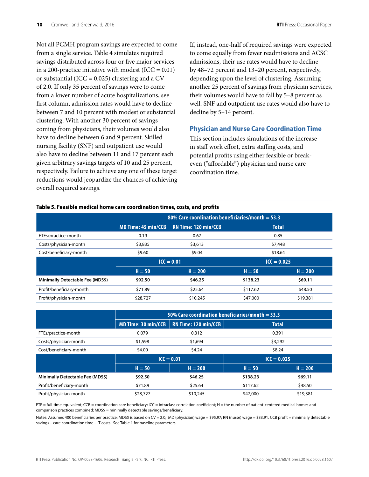<span id="page-13-0"></span>Not all PCMH program savings are expected to come from a single service. Table 4 simulates required savings distributed across four or five major services in a 200-practice initiative with modest (ICC =  $0.01$ ) or substantial (ICC =  $0.025$ ) clustering and a CV of 2.0. If only 35 percent of savings were to come from a lower number of acute hospitalizations, see first column, admission rates would have to decline between 7 and 10 percent with modest or substantial clustering. With another 30 percent of savings coming from physicians, their volumes would also have to decline between 6 and 9 percent. Skilled nursing facility (SNF) and outpatient use would also have to decline between 11 and 17 percent each given arbitrary savings targets of 10 and 25 percent, respectively. Failure to achieve any one of these target reductions would jeopardize the chances of achieving overall required savings.

**Table 5. Feasible medical home care coordination times, costs, and profits**

If, instead, one-half of required savings were expected to come equally from fewer readmissions and ACSC admissions, their use rates would have to decline by 48–72 percent and 13–20 percent, respectively, depending upon the level of clustering. Assuming another 25 percent of savings from physician services, their volumes would have to fall by 5–8 percent as well. SNF and outpatient use rates would also have to decline by 5–14 percent.

#### **Physician and Nurse Care Coordination Time**

This section includes simulations of the increase in staff work effort, extra staffing costs, and potential profits using either feasible or breakeven ("affordable") physician and nurse care coordination time.

|                                  | 80% Care coordination beneficiaries/month $=$ 53.3 |                             |               |           |  |  |  |
|----------------------------------|----------------------------------------------------|-----------------------------|---------------|-----------|--|--|--|
|                                  | <b>MD Time: 45 min/CCB</b>                         | <b>RN Time: 120 min/CCB</b> | <b>Total</b>  |           |  |  |  |
| FTEs/practice-month              | 0.19                                               | 0.67                        |               | 0.85      |  |  |  |
| Costs/physician-month            | \$3,835                                            | \$3,613                     | \$7,448       |           |  |  |  |
| Cost/beneficiary-month           | \$9.60                                             | \$9.04                      | \$18.64       |           |  |  |  |
|                                  | $ICC = 0.01$                                       |                             | $ICC = 0.025$ |           |  |  |  |
|                                  | $H = 50$                                           | $H = 200$                   | $H = 50$      | $H = 200$ |  |  |  |
| Minimally Detectable Fee (MDS\$) | \$92.50                                            | \$46.25                     | \$138.23      | \$69.11   |  |  |  |
| Profit/beneficiary-month         | \$71.89                                            | \$25.64                     | \$117.62      | \$48.50   |  |  |  |
| Profit/physician-month           | \$28,727                                           | \$10,245                    | \$47,000      | \$19,381  |  |  |  |

|                                  | 50% Care coordination beneficiaries/month $=$ 33.3 |                             |                       |          |  |  |
|----------------------------------|----------------------------------------------------|-----------------------------|-----------------------|----------|--|--|
|                                  | <b>MD Time: 30 min/CCB</b>                         | <b>RN Time: 120 min/CCB</b> | <b>Total</b>          |          |  |  |
| FTEs/practice-month              | 0.079                                              | 0.312                       | 0.391                 |          |  |  |
| Costs/physician-month            | \$1,598                                            | \$1,694                     | \$3,292               |          |  |  |
| Cost/beneficiary-month           | \$4.00                                             | \$4.24                      | \$8.24                |          |  |  |
|                                  | $ICC = 0.01$                                       |                             | $ICC = 0.025$         |          |  |  |
|                                  | $H = 50$                                           | $H = 200$                   | $H = 200$<br>$H = 50$ |          |  |  |
| Minimally Detectable Fee (MDS\$) | \$92.50                                            | \$46.25                     | \$138.23              | \$69.11  |  |  |
| Profit/beneficiary-month         | \$71.89                                            | \$25.64                     | \$117.62              | \$48.50  |  |  |
| Profit/physician-month           | \$28,727                                           | \$10,245                    | \$47,000              | \$19,381 |  |  |

FTE = full-time equivalent; CCB = coordination care beneficiary; ICC = intraclass correlation coefficient; H = the number of patient-centered medical homes and comparison practices combined; MDS\$ = minimally detectable savings/beneficiary.

Notes: Assumes 400 beneficiaries per practice; MDS\$ is based on CV = 2.0; MD (physician) wage = \$95.97; RN (nurse) wage = \$33.91. CCB profit = minimally detectable savings – care coordination time – IT costs. See Table 1 for baseline parameters.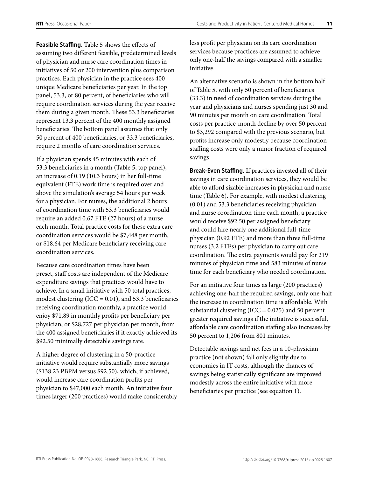**Feasible Staffing.** Table 5 shows the effects of assuming two different feasible, predetermined levels of physician and nurse care coordination times in initiatives of 50 or 200 intervention plus comparison practices. Each physician in the practice sees 400 unique Medicare beneficiaries per year. In the top panel, 53.3, or 80 percent, of beneficiaries who will require coordination services during the year receive them during a given month. These 53.3 beneficiaries represent 13.3 percent of the 400 monthly assigned beneficiaries. The bottom panel assumes that only 50 percent of 400 beneficiaries, or 33.3 beneficiaries, require 2 months of care coordination services.

If a physician spends 45 minutes with each of 53.3 beneficiaries in a month (Table 5, top panel), an increase of 0.19 (10.3 hours) in her full-time equivalent (FTE) work time is required over and above the simulation's average 54 hours per week for a physician. For nurses, the additional 2 hours of coordination time with 53.3 beneficiaries would require an added 0.67 FTE (27 hours) of a nurse each month. Total practice costs for these extra care coordination services would be \$7,448 per month, or \$18.64 per Medicare beneficiary receiving care coordination services.

Because care coordination times have been preset, staff costs are independent of the Medicare expenditure savings that practices would have to achieve. In a small initiative with 50 total practices, modest clustering (ICC = 0.01), and 53.3 beneficiaries receiving coordination monthly, a practice would enjoy \$71.89 in monthly profits per beneficiary per physician, or \$28,727 per physician per month, from the 400 assigned beneficiaries if it exactly achieved its \$92.50 minimally detectable savings rate.

A higher degree of clustering in a 50-practice initiative would require substantially more savings (\$138.23 PBPM versus \$92.50), which, if achieved, would increase care coordination profits per physician to \$47,000 each month. An initiative four times larger (200 practices) would make considerably less profit per physician on its care coordination services because practices are assumed to achieve only one-half the savings compared with a smaller initiative.

An alternative scenario is shown in the bottom half of Table 5, with only 50 percent of beneficiaries (33.3) in need of coordination services during the year and physicians and nurses spending just 30 and 90 minutes per month on care coordination. Total costs per practice-month decline by over 50 percent to \$3,292 compared with the previous scenario, but profits increase only modestly because coordination staffing costs were only a minor fraction of required savings.

**Break-Even Staffing.** If practices invested all of their savings in care coordination services, they would be able to afford sizable increases in physician and nurse time (Table 6). For example, with modest clustering (0.01) and 53.3 beneficiaries receiving physician and nurse coordination time each month, a practice would receive \$92.50 per assigned beneficiary and could hire nearly one additional full-time physician (0.92 FTE) and more than three full-time nurses (3.2 FTEs) per physician to carry out care coordination. The extra payments would pay for 219 minutes of physician time and 583 minutes of nurse time for each beneficiary who needed coordination.

For an initiative four times as large (200 practices) achieving one-half the required savings, only one-half the increase in coordination time is affordable. With substantial clustering (ICC =  $0.025$ ) and 50 percent greater required savings if the initiative is successful, affordable care coordination staffing also increases by 50 percent to 1,206 from 801 minutes.

Detectable savings and net fees in a 10-physician practice (not shown) fall only slightly due to economies in IT costs, although the chances of savings being statistically significant are improved modestly across the entire initiative with more beneficiaries per practice (see equation 1).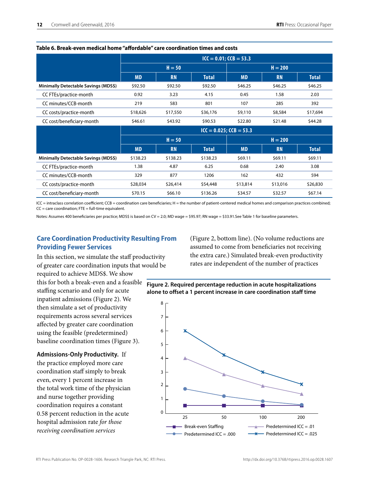|                                      | $ICC = 0.01; CCB = 53.3$     |           |              |           |           |              |
|--------------------------------------|------------------------------|-----------|--------------|-----------|-----------|--------------|
|                                      | $H = 50$                     |           |              | $H = 200$ |           |              |
|                                      | <b>MD</b>                    | <b>RN</b> | <b>Total</b> | <b>MD</b> | <b>RN</b> | <b>Total</b> |
| Minimally Detectable Savings (MDS\$) | \$92.50                      | \$92.50   | \$92.50      | \$46.25   | \$46.25   | \$46.25      |
| CC FTEs/practice-month               | 0.92                         | 3.23      | 4.15         | 0.45      | 1.58      | 2.03         |
| CC minutes/CCB-month                 | 219                          | 583       | 801          | 107       | 285       | 392          |
| CC costs/practice-month              | \$18,626                     | \$17,550  | \$36,176     | \$9,110   | \$8,584   | \$17,694     |
| CC cost/beneficiary-month            | \$46.61                      | \$43.92   | \$90.53      | \$22.80   | \$21.48   | \$44.28      |
|                                      | $ICC = 0.025$ ; $CCB = 53.3$ |           |              |           |           |              |
|                                      | $H = 50$                     |           |              | $H = 200$ |           |              |
|                                      | <b>MD</b>                    | <b>RN</b> | <b>Total</b> | <b>MD</b> | <b>RN</b> | <b>Total</b> |
| Minimally Detectable Savings (MDS\$) | \$138.23                     | \$138.23  | \$138.23     | \$69.11   | \$69.11   | \$69.11      |
| CC FTEs/practice-month               | 1.38                         | 4.87      | 6.25         | 0.68      | 2.40      | 3.08         |
| CC minutes/CCB-month                 | 329                          | 877       | 1206         | 162       | 432       | 594          |
| CC costs/practice-month              | \$28,034                     | \$26,414  | \$54,448     | \$13,814  | \$13,016  | \$26,830     |
| CC cost/beneficiary-month            | \$70.15                      | \$66.10   | \$136.26     | \$34.57   | \$32.57   | \$67.14      |

#### <span id="page-15-0"></span>**Table 6. Break-even medical home "affordable" care coordination times and costs**

ICC = intraclass correlation coefficient; CCB = coordination care beneficiaries; H = the number of patient-centered medical homes and comparison practices combined;  $CC =$  care coordination;  $FTE = full-time equivalent$ .

Notes: Assumes 400 beneficiaries per practice; MDS\$ is based on CV = 2.0; MD wage = \$95.97; RN wage = \$33.91.See Table 1 for baseline parameters.

#### **Care Coordination Productivity Resulting From Providing Fewer Services**

In this section, we simulate the staff productivity of greater care coordination inputs that would be required to achieve MDS\$. We show

this for both a break-even and a feasible staffing scenario and only for acute inpatient admissions (Figure 2). We then simulate a set of productivity requirements across several services affected by greater care coordination using the feasible (predetermined) baseline coordination times (Figure 3).

**Admissions-Only Productivity.** If the practice employed more care coordination staff simply to break even, every 1 percent increase in the total work time of the physician and nurse together providing coordination requires a constant 0.58 percent reduction in the acute hospital admission rate *for those receiving coordination services*

(Figure 2, bottom line). (No volume reductions are assumed to come from beneficiaries not receiving the extra care.) Simulated break-even productivity rates are independent of the number of practices



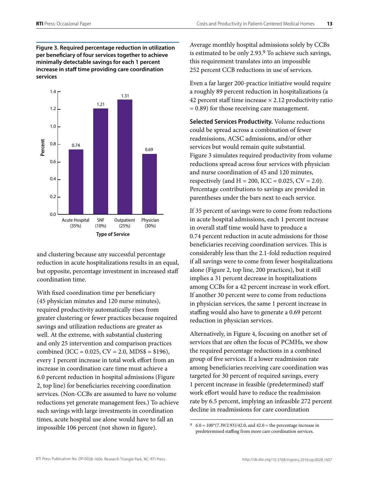**Figure 3. Required percentage reduction in utilization per beneficiary of four services together to achieve minimally detectable savings for each 1 percent increase in staff time providing care coordination services**



and clustering because any successful percentage reduction in acute hospitalizations results in an equal, but opposite, percentage investment in increased staff coordination time.

With fixed coordination time per beneficiary (45 physician minutes and 120 nurse minutes), required productivity automatically rises from greater clustering or fewer practices because required savings and utilization reductions are greater as well. At the extreme, with substantial clustering and only 25 intervention and comparison practices combined (ICC =  $0.025$ , CV =  $2.0$ , MDS\$ = \$196), every 1 percent increase in total work effort from an increase in coordination care time must achieve a 6.0 percent reduction in hospital admissions (Figure 2, top line) for beneficiaries receiving coordination services. (Non-CCBs are assumed to have no volume reductions yet generate management fees.) To achieve such savings with large investments in coordination times, acute hospital use alone would have to fall an impossible 106 percent (not shown in figure).

Average monthly hospital admissions solely by CCBs is estimated to be only 2.93.9 To achieve such savings, this requirement translates into an impossible 252 percent CCB reductions in use of services.

Even a far larger 200-practice initiative would require a roughly 89 percent reduction in hospitalizations (a 42 percent staff time increase  $\times$  2.12 productivity ratio = 0.89) for those receiving care management.

**Selected Services Productivity.** Volume reductions could be spread across a combination of fewer readmissions, ACSC admissions, and/or other services but would remain quite substantial. Figure 3 simulates required productivity from volume reductions spread across four services with physician and nurse coordination of 45 and 120 minutes, respectively (and  $H = 200$ , ICC = 0.025, CV = 2.0). Percentage contributions to savings are provided in parentheses under the bars next to each service.

If 35 percent of savings were to come from reductions in acute hospital admissions, each 1 percent increase in overall staff time would have to produce a 0.74 percent reduction in acute admissions for those beneficiaries receiving coordination services. This is considerably less than the 2.1-fold reduction required if all savings were to come from fewer hospitalizations alone (Figure 2, top line, 200 practices), but it still implies a 31 percent decrease in hospitalizations among CCBs for a 42 percent increase in work effort. If another 30 percent were to come from reductions in physician services, the same 1 percent increase in staffing would also have to generate a 0.69 percent reduction in physician services.

Alternatively, in Figure 4, focusing on another set of services that are often the focus of PCMHs, we show the required percentage reductions in a combined group of five services. If a lower readmission rate among beneficiaries receiving care coordination was targeted for 30 percent of required savings, every 1 percent increase in feasible (predetermined) staff work effort would have to reduce the readmission rate by 6.5 percent, implying an infeasible 272 percent decline in readmissions for care coordination

 $9 \quad 6.0 = 100*(7.39/2.93)/42.0$ , and  $42.0 =$  the percentage increase in predetermined staffing from more care coordination services.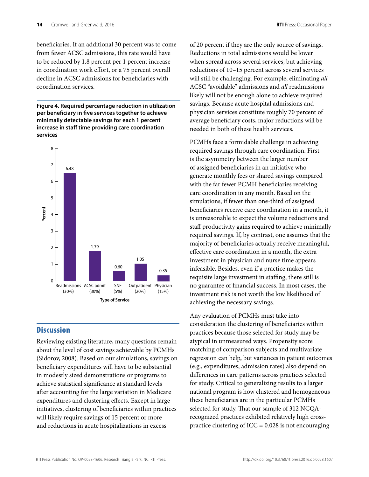<span id="page-17-0"></span>beneficiaries. If an additional 30 percent was to come from fewer ACSC admissions, this rate would have to be reduced by 1.8 percent per 1 percent increase in coordination work effort, or a 75 percent overall decline in ACSC admissions for beneficiaries with coordination services.

**Figure 4. Required percentage reduction in utilization per beneficiary in five services together to achieve minimally detectable savings for each 1 percent increase in staff time providing care coordination services**



#### **Discussion**

Reviewing existing literature, many questions remain about the level of cost savings achievable by PCMHs (Sidorov, 2008). Based on our simulations, savings on beneficiary expenditures will have to be substantial in modestly sized demonstrations or programs to achieve statistical significance at standard levels after accounting for the large variation in Medicare expenditures and clustering effects. Except in large initiatives, clustering of beneficiaries within practices will likely require savings of 15 percent or more and reductions in acute hospitalizations in excess

of 20 percent if they are the only source of savings. Reductions in total admissions would be lower when spread across several services, but achieving reductions of 10–15 percent across several services will still be challenging. For example, eliminating *all* ACSC "avoidable" admissions and *all* readmissions likely will not be enough alone to achieve required savings. Because acute hospital admissions and physician services constitute roughly 70 percent of average beneficiary costs, major reductions will be needed in both of these health services.

PCMHs face a formidable challenge in achieving required savings through care coordination. First is the asymmetry between the larger number of assigned beneficiaries in an initiative who generate monthly fees or shared savings compared with the far fewer PCMH beneficiaries receiving care coordination in any month. Based on the simulations, if fewer than one-third of assigned beneficiaries receive care coordination in a month, it is unreasonable to expect the volume reductions and staff productivity gains required to achieve minimally required savings. If, by contrast, one assumes that the majority of beneficiaries actually receive meaningful, effective care coordination in a month, the extra investment in physician and nurse time appears infeasible. Besides, even if a practice makes the requisite large investment in staffing, there still is no guarantee of financial success. In most cases, the investment risk is not worth the low likelihood of achieving the necessary savings.

Any evaluation of PCMHs must take into consideration the clustering of beneficiaries within practices because those selected for study may be atypical in unmeasured ways. Propensity score matching of comparison subjects and multivariate regression can help, but variances in patient outcomes (e.g., expenditures, admission rates) also depend on differences in care patterns across practices selected for study. Critical to generalizing results to a larger national program is how clustered and homogeneous these beneficiaries are in the particular PCMHs selected for study. That our sample of 312 NCQArecognized practices exhibited relatively high crosspractice clustering of  $ICC = 0.028$  is not encouraging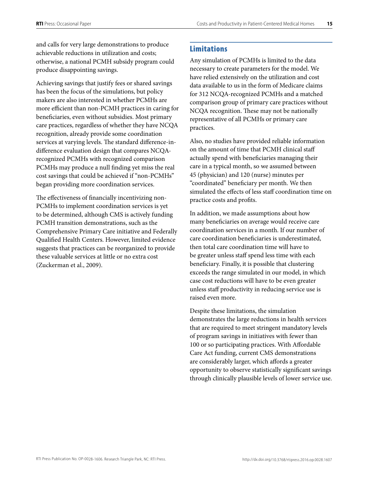<span id="page-18-0"></span>and calls for very large demonstrations to produce achievable reductions in utilization and costs; otherwise, a national PCMH subsidy program could produce disappointing savings.

Achieving savings that justify fees or shared savings has been the focus of the simulations, but policy makers are also interested in whether PCMHs are more efficient than non-PCMH practices in caring for beneficiaries, even without subsidies. Most primary care practices, regardless of whether they have NCQA recognition, already provide some coordination services at varying levels. The standard difference-indifference evaluation design that compares NCQArecognized PCMHs with recognized comparison PCMHs may produce a null finding yet miss the real cost savings that could be achieved if "non-PCMHs" began providing more coordination services.

The effectiveness of financially incentivizing non-PCMHs to implement coordination services is yet to be determined, although CMS is actively funding PCMH transition demonstrations, such as the Comprehensive Primary Care initiative and Federally Qualified Health Centers. However, limited evidence suggests that practices can be reorganized to provide these valuable services at little or no extra cost (Zuckerman et al., 2009).

#### Limitations

Any simulation of PCMHs is limited to the data necessary to create parameters for the model. We have relied extensively on the utilization and cost data available to us in the form of Medicare claims for 312 NCQA-recognized PCMHs and a matched comparison group of primary care practices without NCQA recognition. These may not be nationally representative of all PCMHs or primary care practices.

Also, no studies have provided reliable information on the amount of time that PCMH clinical staff actually spend with beneficiaries managing their care in a typical month, so we assumed between 45 (physician) and 120 (nurse) minutes per "coordinated" beneficiary per month. We then simulated the effects of less staff coordination time on practice costs and profits.

In addition, we made assumptions about how many beneficiaries on average would receive care coordination services in a month. If our number of care coordination beneficiaries is underestimated, then total care coordination time will have to be greater unless staff spend less time with each beneficiary. Finally, it is possible that clustering exceeds the range simulated in our model, in which case cost reductions will have to be even greater unless staff productivity in reducing service use is raised even more.

Despite these limitations, the simulation demonstrates the large reductions in health services that are required to meet stringent mandatory levels of program savings in initiatives with fewer than 100 or so participating practices. With Affordable Care Act funding, current CMS demonstrations are considerably larger, which affords a greater opportunity to observe statistically significant savings through clinically plausible levels of lower service use.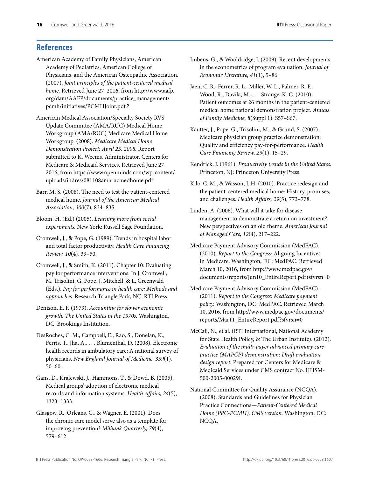#### <span id="page-19-0"></span>**References**

- American Academy of Family Physicians, American Academy of Pediatrics, American College of Physicians, and the American Osteopathic Association. (2007). *Joint principles of the patient-centered medical home.* Retrieved June 27, 2016, from [http://www.aafp.](http://www.aafp.org/dam/AAFP/documents/practice_management/pcmh/initiatives/PCMHJoint.pdf.?) [org/dam/AAFP/documents/practice\\_management/](http://www.aafp.org/dam/AAFP/documents/practice_management/pcmh/initiatives/PCMHJoint.pdf.?) [pcmh/initiatives/PCMHJoint.pdf.?](http://www.aafp.org/dam/AAFP/documents/practice_management/pcmh/initiatives/PCMHJoint.pdf.?)
- American Medical Association/Specialty Society RVS Update Committee (AMA/RUC) Medical Home Workgroup (AMA/RUC) Medicare Medical Home Workgroup. (2008). *Medicare Medical Home Demonstration Project: April 25, 2008.* Report submitted to K. Weems, Administrator, Centers for Medicare & Medicaid Services. Retrieved June 27, 2016, from [https://www.openminds.com/wp-content/](https://www.openminds.com/wp-content/uploads/indres/081108amarucmedhome.pdf) [uploads/indres/081108amarucmedhome.pdf](https://www.openminds.com/wp-content/uploads/indres/081108amarucmedhome.pdf)
- Barr, M. S. (2008). The need to test the patient-centered medical home. *Journal of the American Medical Association, 300*(7), 834–835.
- Bloom, H. (Ed.) (2005). *Learning more from social experiments.* New York: Russell Sage Foundation.
- Cromwell, J., & Pope, G. (1989). Trends in hospital labor and total factor productivity. *Health Care Financing Review, 10*(4), 39–50.
- Cromwell, J., & Smith, K. (2011). Chapter 10: Evaluating pay for performance interventions. In J. Cromwell, M. Trisolini, G. Pope, J. Mitchell, & L. Greenwald (Eds.). *Pay for performance in health care: Methods and approaches.* Research Triangle Park, NC: RTI Press.
- Denison, E. F. (1979). *Accounting for slower economic growth: The United States in the 1970s.* Washington, DC: Brookings Institution.
- DesRoches, C. M., Campbell, E., Rao, S., Donelan, K., Ferris, T., Jha, A., . . . Blumenthal, D. (2008). Electronic health records in ambulatory care: A national survey of physicians. *New England Journal of Medicine, 359*(1), 50–60.
- Gans, D., Kralewski, J., Hammons, T., & Dowd, B. (2005). Medical groups' adoption of electronic medical records and information systems. *Health Affairs, 24*(5), 1323–1333.
- Glasgow, R., Orleans, C., & Wagner, E. (2001). Does the chronic care model serve also as a template for improving prevention? *Milbank Quarterly, 79*(4), 579–612.
- Imbens, G., & Wooldridge, J. (2009). Recent developments in the econometrics of program evaluation. *Journal of Economic Literature, 41*(1), 5–86.
- Jaen, C. R., Ferrer, R. L., Miller, W. L., Palmer, R. F., Wood, R., Davila, M., . . . Strange, K. C. (2010). Patient outcomes at 26 months in the patient-centered medical home national demonstration project. *Annals of Family Medicine, 8*(Suppl 1): S57–S67.
- Kautter, J., Pope, G., Trisolini, M., & Grund, S. (2007). Medicare physician group practice demonstration: Quality and efficiency pay-for-performance. *Health Care Financing Review, 29*(1), 15–29.
- Kendrick, J. (1961). *Productivity trends in the United States.*  Princeton, NJ: Princeton University Press.
- Kilo, C. M., & Wasson, J. H. (2010). Practice redesign and the patient-centered medical home: History, promises, and challenges. *Health Affairs, 29*(5), 773–778.
- Linden, A. (2006). What will it take for disease management to demonstrate a return on investment? New perspectives on an old theme. *American Journal of Managed Care, 12*(4), 217–222.
- Medicare Payment Advisory Commission (MedPAC). (2010). *Report to the Congress*: Aligning Incentives in Medicare. Washington, DC: MedPAC. Retrieved March 10, 2016, from [http://www.medpac.gov/](http://www.medpac.gov/documents/reports/Jun10_EntireReport.pdf?sfvrsn=0) [documents/reports/Jun10\\_EntireReport.pdf?sfvrsn=0](http://www.medpac.gov/documents/reports/Jun10_EntireReport.pdf?sfvrsn=0)
- Medicare Payment Advisory Commission (MedPAC). (2011). *Report to the Congress: Medicare payment policy.* Washington, DC: MedPAC. Retrieved March 10, 2016, from [http://www.medpac.gov/documents/](http://www.medpac.gov/documents/reports/Mar11_EntireReport.pdf?sfvrsn=0) [reports/Mar11\\_EntireReport.pdf?sfvrsn=0](http://www.medpac.gov/documents/reports/Mar11_EntireReport.pdf?sfvrsn=0)
- McCall, N., et al. (RTI International, National Academy for State Health Policy, & The Urban Institute). (2012). *Evaluation of the multi-payer advanced primary care practice (MAPCP) demonstration: Draft evaluation design report.* Prepared for Centers for Medicare & Medicaid Services under CMS contract No. HHSM-500-2005-00029I.
- National Committee for Quality Assurance (NCQA). (2008). Standards and Guidelines for Physician Practice Connections—*Patient-Centered Medical Home (PPC-PCMH), CMS version.* Washington, DC: NCQA.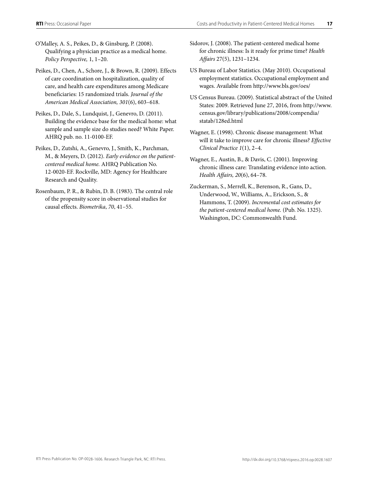O'Malley, A. S., Peikes, D., & Ginsburg, P. (2008). Qualifying a physician practice as a medical home. *Policy Perspective,* 1, 1–20.

Peikes, D., Chen, A., Schore, J., & Brown, R. (2009). Effects of care coordination on hospitalization, quality of care, and health care expenditures among Medicare beneficiaries: 15 randomized trials. *Journal of the American Medical Association, 301*(6), 603–618.

Peikes, D., Dale, S., Lundquist, J., Genevro, D. (2011). Building the evidence base for the medical home: what sample and sample size do studies need? White Paper. AHRQ pub. no. 11-0100-EF.

Peikes, D., Zutshi, A., Genevro, J., Smith, K., Parchman, M., & Meyers, D. (2012). *Early evidence on the patientcentered medical home.* AHRQ Publication No. 12-0020-EF. Rockville, MD: Agency for Healthcare Research and Quality.

Rosenbaum, P. R., & Rubin, D. B. (1983). The central role of the propensity score in observational studies for causal effects. *Biometrika*, *70*, 41–55.

Sidorov, J. (2008). The patient-centered medical home for chronic illness: Is it ready for prime time? *Health Affairs* 27(5), 1231–1234.

US Bureau of Labor Statistics. (May 2010). Occupational employment statistics. Occupational employment and wages. Available from<http://www.bls.gov/oes/>

US Census Bureau. (2009). Statistical abstract of the United States: 2009. Retrieved June 27, 2016, from [http://www.](http://www.census.gov/library/publications/2008/compendia/statab/128ed.html) [census.gov/library/publications/2008/compendia/](http://www.census.gov/library/publications/2008/compendia/statab/128ed.html) [statab/128ed.html](http://www.census.gov/library/publications/2008/compendia/statab/128ed.html)

Wagner, E. (1998). Chronic disease management: What will it take to improve care for chronic illness? *Effective Clinical Practice 1*(1), 2–4.

Wagner, E., Austin, B., & Davis, C. (2001). Improving chronic illness care: Translating evidence into action. *Health Affairs, 20*(6), 64–78.

Zuckerman, S., Merrell, K., Berenson, R., Gans, D., Underwood, W., Williams, A., Erickson, S., & Hammons, T. (2009). *Incremental cost estimates for the patient-centered medical home.* (Pub. No. 1325). Washington, DC: Commonwealth Fund.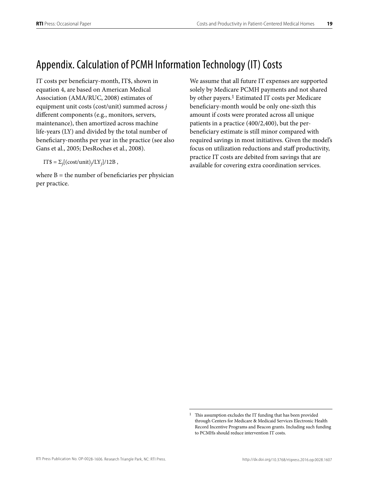### <span id="page-21-0"></span>Appendix. Calculation of PCMH Information Technology (IT) Costs

IT costs per beneficiary-month, IT\$, shown in equation 4, are based on American Medical Association (AMA/RUC, 2008) estimates of equipment unit costs (cost/unit) summed across *j*  different components (e.g., monitors, servers, maintenance), then amortized across machine life-years (LY) and divided by the total number of beneficiary-months per year in the practice (see also Gans et al., 2005; DesRoches et al., 2008).

IT\$ =  $\Sigma_i[(\text{cost} / \text{unit})_i / LY_i]/12B$ ,

where  $B =$  the number of beneficiaries per physician per practice.

We assume that all future IT expenses are supported solely by Medicare PCMH payments and not shared by other payers.<sup>1</sup> Estimated IT costs per Medicare beneficiary-month would be only one-sixth this amount if costs were prorated across all unique patients in a practice (400/2,400), but the perbeneficiary estimate is still minor compared with required savings in most initiatives. Given the model's focus on utilization reductions and staff productivity, practice IT costs are debited from savings that are available for covering extra coordination services.

<sup>&</sup>lt;sup>1</sup> This assumption excludes the IT funding that has been provided through Centers for Medicare & Medicaid Services Electronic Health Record Incentive Programs and Beacon grants. Including such funding to PCMHs should reduce intervention IT costs.